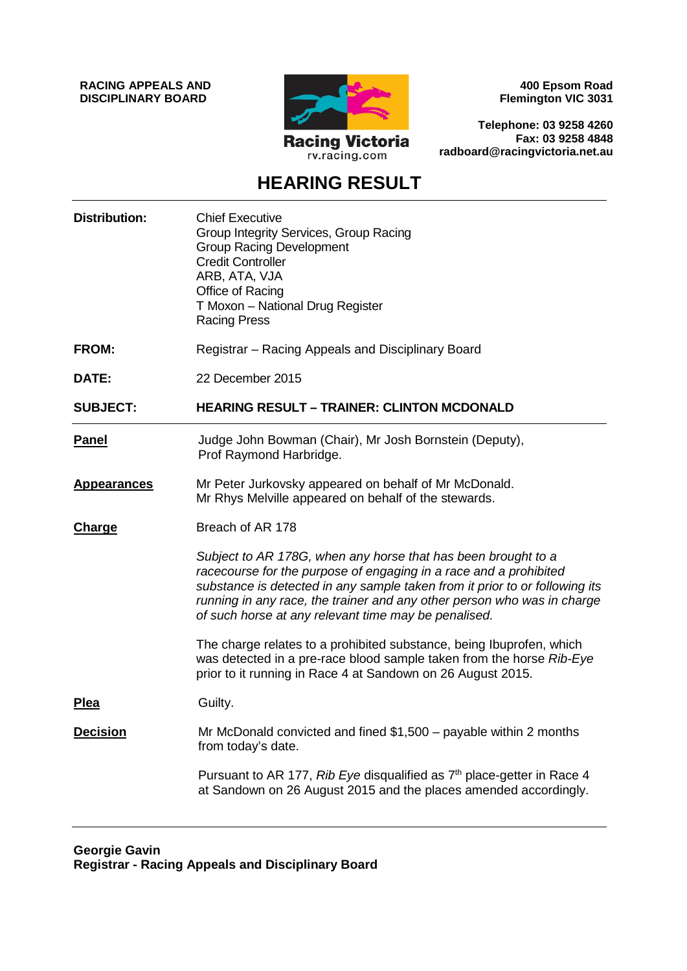**RACING APPEALS AND DISCIPLINARY BOARD**



**400 Epsom Road Flemington VIC 3031**

**Telephone: 03 9258 4260 Fax: 03 9258 4848 radboard@racingvictoria.net.au**

## **HEARING RESULT**

| <b>Distribution:</b> | <b>Chief Executive</b><br>Group Integrity Services, Group Racing<br><b>Group Racing Development</b><br><b>Credit Controller</b><br>ARB, ATA, VJA<br>Office of Racing<br>T Moxon - National Drug Register<br><b>Racing Press</b>                                                                                                                      |
|----------------------|------------------------------------------------------------------------------------------------------------------------------------------------------------------------------------------------------------------------------------------------------------------------------------------------------------------------------------------------------|
| <b>FROM:</b>         | Registrar – Racing Appeals and Disciplinary Board                                                                                                                                                                                                                                                                                                    |
| DATE:                | 22 December 2015                                                                                                                                                                                                                                                                                                                                     |
| <b>SUBJECT:</b>      | <b>HEARING RESULT - TRAINER: CLINTON MCDONALD</b>                                                                                                                                                                                                                                                                                                    |
| <b>Panel</b>         | Judge John Bowman (Chair), Mr Josh Bornstein (Deputy),<br>Prof Raymond Harbridge.                                                                                                                                                                                                                                                                    |
| <b>Appearances</b>   | Mr Peter Jurkovsky appeared on behalf of Mr McDonald.<br>Mr Rhys Melville appeared on behalf of the stewards.                                                                                                                                                                                                                                        |
| <b>Charge</b>        | Breach of AR 178                                                                                                                                                                                                                                                                                                                                     |
|                      | Subject to AR 178G, when any horse that has been brought to a<br>racecourse for the purpose of engaging in a race and a prohibited<br>substance is detected in any sample taken from it prior to or following its<br>running in any race, the trainer and any other person who was in charge<br>of such horse at any relevant time may be penalised. |
|                      | The charge relates to a prohibited substance, being Ibuprofen, which<br>was detected in a pre-race blood sample taken from the horse Rib-Eye<br>prior to it running in Race 4 at Sandown on 26 August 2015.                                                                                                                                          |
| <b>Plea</b>          | Guilty.                                                                                                                                                                                                                                                                                                                                              |
| <b>Decision</b>      | Mr McDonald convicted and fined \$1,500 - payable within 2 months<br>from today's date.                                                                                                                                                                                                                                                              |
|                      | Pursuant to AR 177, Rib Eye disqualified as 7 <sup>th</sup> place-getter in Race 4<br>at Sandown on 26 August 2015 and the places amended accordingly.                                                                                                                                                                                               |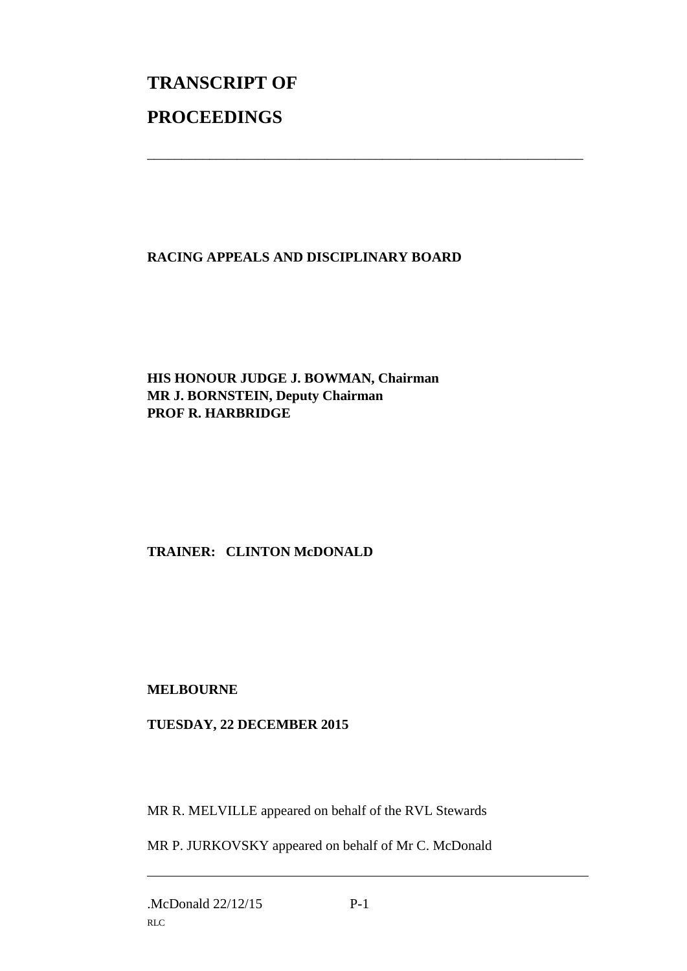# **TRANSCRIPT OF PROCEEDINGS**

#### **RACING APPEALS AND DISCIPLINARY BOARD**

\_\_\_\_\_\_\_\_\_\_\_\_\_\_\_\_\_\_\_\_\_\_\_\_\_\_\_\_\_\_\_\_\_\_\_\_\_\_\_\_\_\_\_\_\_\_\_\_\_\_\_\_\_\_\_\_\_\_\_\_\_\_\_

#### **HIS HONOUR JUDGE J. BOWMAN, Chairman MR J. BORNSTEIN, Deputy Chairman PROF R. HARBRIDGE**

### **TRAINER: CLINTON McDONALD**

#### **MELBOURNE**

#### **TUESDAY, 22 DECEMBER 2015**

MR R. MELVILLE appeared on behalf of the RVL Stewards

MR P. JURKOVSKY appeared on behalf of Mr C. McDonald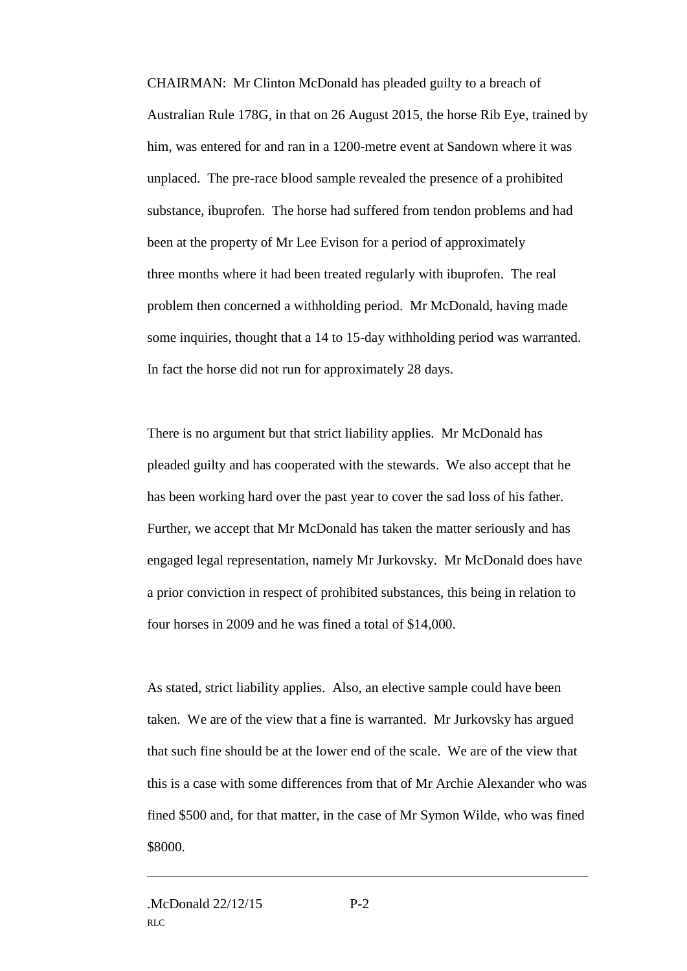CHAIRMAN: Mr Clinton McDonald has pleaded guilty to a breach of Australian Rule 178G, in that on 26 August 2015, the horse Rib Eye, trained by him, was entered for and ran in a 1200-metre event at Sandown where it was unplaced. The pre-race blood sample revealed the presence of a prohibited substance, ibuprofen. The horse had suffered from tendon problems and had been at the property of Mr Lee Evison for a period of approximately three months where it had been treated regularly with ibuprofen. The real problem then concerned a withholding period. Mr McDonald, having made some inquiries, thought that a 14 to 15-day withholding period was warranted. In fact the horse did not run for approximately 28 days.

There is no argument but that strict liability applies. Mr McDonald has pleaded guilty and has cooperated with the stewards. We also accept that he has been working hard over the past year to cover the sad loss of his father. Further, we accept that Mr McDonald has taken the matter seriously and has engaged legal representation, namely Mr Jurkovsky. Mr McDonald does have a prior conviction in respect of prohibited substances, this being in relation to four horses in 2009 and he was fined a total of \$14,000.

As stated, strict liability applies. Also, an elective sample could have been taken. We are of the view that a fine is warranted. Mr Jurkovsky has argued that such fine should be at the lower end of the scale. We are of the view that this is a case with some differences from that of Mr Archie Alexander who was fined \$500 and, for that matter, in the case of Mr Symon Wilde, who was fined \$8000.